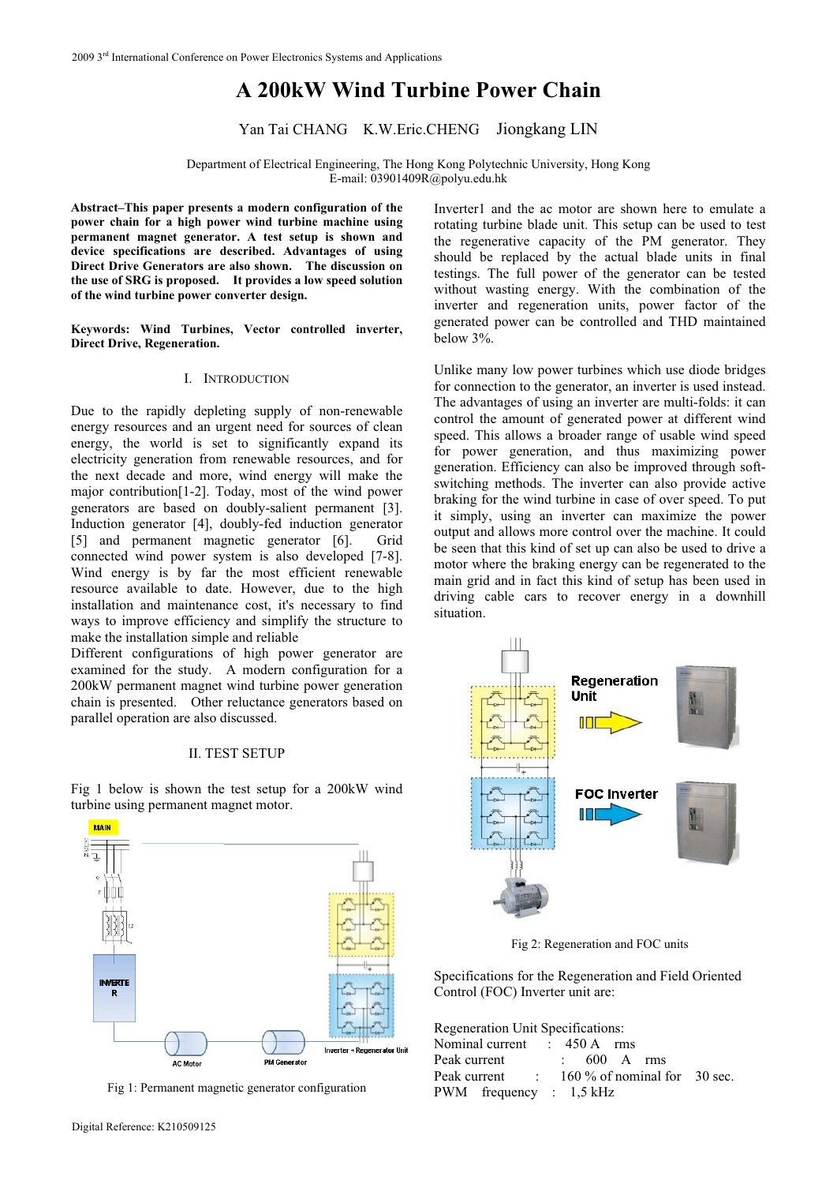# **A 200kW Wind Turbine Power Chain**

Yan Tai CHANG K.W.Eric.CHENG Jiongkang LIN

Department of Electrical Engineering, The Hong Kong Polytechnic University, Hong Kong E-mail: 03901409R@polyu.edu.hk

**Abstract–This paper presents a modern configuration of the power chain for a high power wind turbine machine using permanent magnet generator. A test setup is shown and device specifications are described. Advantages of using Direct Drive Generators are also shown. The discussion on the use of SRG is proposed. It provides a low speed solution of the wind turbine power converter design.** 

**Keywords: Wind Turbines, Vector controlled inverter, Direct Drive, Regeneration.** 

## I. INTRODUCTION

Due to the rapidly depleting supply of non-renewable energy resources and an urgent need for sources of clean energy, the world is set to significantly expand its electricity generation from renewable resources, and for the next decade and more, wind energy will make the major contribution[1-2]. Today, most of the wind power generators are based on doubly-salient permanent [3]. Induction generator [4], doubly-fed induction generator [5] and permanent magnetic generator [6]. Grid connected wind power system is also developed [7-8]. Wind energy is by far the most efficient renewable resource available to date. However, due to the high installation and maintenance cost, it's necessary to find ways to improve efficiency and simplify the structure to make the installation simple and reliable

Different configurations of high power generator are examined for the study. A modern configuration for a 200kW permanent magnet wind turbine power generation chain is presented. Other reluctance generators based on parallel operation are also discussed.

#### II. TEST SETUP

Fig 1 below is shown the test setup for a 200kW wind turbine using permanent magnet motor.



Fig 1: Permanent magnetic generator configuration

Inverter1 and the ac motor are shown here to emulate a rotating turbine blade unit. This setup can be used to test the regenerative capacity of the PM generator. They should be replaced by the actual blade units in final testings. The full power of the generator can be tested without wasting energy. With the combination of the inverter and regeneration units, power factor of the generated power can be controlled and THD maintained below 3%.

Unlike many low power turbines which use diode bridges for connection to the generator, an inverter is used instead. The advantages of using an inverter are multi-folds: it can control the amount of generated power at different wind speed. This allows a broader range of usable wind speed for power generation, and thus maximizing power generation. Efficiency can also be improved through softswitching methods. The inverter can also provide active braking for the wind turbine in case of over speed. To put it simply, using an inverter can maximize the power output and allows more control over the machine. It could be seen that this kind of set up can also be used to drive a motor where the braking energy can be regenerated to the main grid and in fact this kind of setup has been used in driving cable cars to recover energy in a downhill situation.



Fig 2: Regeneration and FOC units

Specifications for the Regeneration and Field Oriented Control (FOC) Inverter unit are:

| Regeneration Unit Specifications:           |  |  |                        |  |  |  |  |  |
|---------------------------------------------|--|--|------------------------|--|--|--|--|--|
| Nominal current : 450 A rms                 |  |  |                        |  |  |  |  |  |
| Peak current                                |  |  | $\therefore$ 600 A rms |  |  |  |  |  |
| Peak current : 160 % of nominal for 30 sec. |  |  |                        |  |  |  |  |  |
| PWM frequency : $1,5$ kHz                   |  |  |                        |  |  |  |  |  |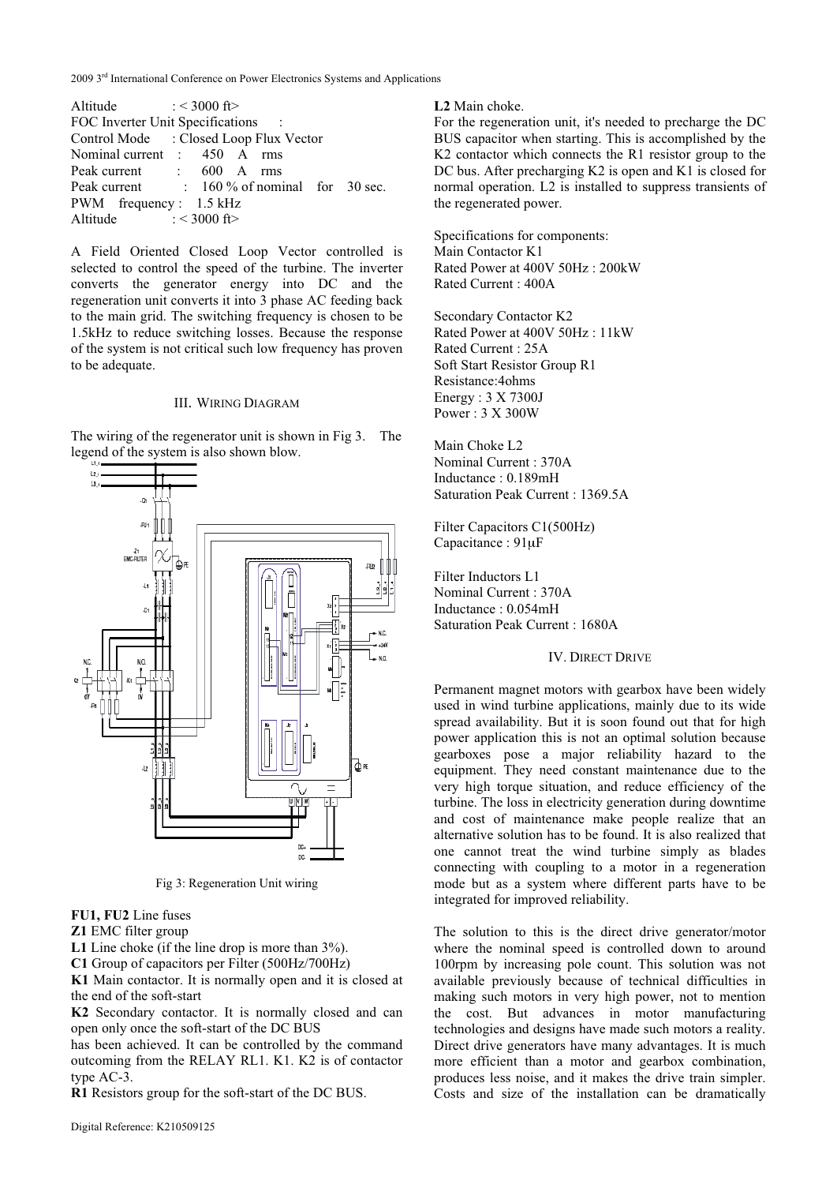2009 3<sup>rd</sup> International Conference on Power Electronics Systems and Applications

| Altitude $: < 3000$ ft>            |  |                                             |  |  |  |  |  |
|------------------------------------|--|---------------------------------------------|--|--|--|--|--|
| FOC Inverter Unit Specifications : |  |                                             |  |  |  |  |  |
|                                    |  | Control Mode : Closed Loop Flux Vector      |  |  |  |  |  |
| Nominal current : 450 A rms        |  |                                             |  |  |  |  |  |
| Peak current : 600 A rms           |  |                                             |  |  |  |  |  |
|                                    |  | Peak current : 160 % of nominal for 30 sec. |  |  |  |  |  |
| PWM frequency: 1.5 kHz             |  |                                             |  |  |  |  |  |
| Altitude $: < 3000$ ft>            |  |                                             |  |  |  |  |  |

A Field Oriented Closed Loop Vector controlled is selected to control the speed of the turbine. The inverter converts the generator energy into DC and the regeneration unit converts it into 3 phase AC feeding back to the main grid. The switching frequency is chosen to be 1.5kHz to reduce switching losses. Because the response of the system is not critical such low frequency has proven to be adequate.

## III. WIRING DIAGRAM

The wiring of the regenerator unit is shown in Fig 3. The legend of the system is also shown blow.



Fig 3: Regeneration Unit wiring

**FU1, FU2** Line fuses

**Z1** EMC filter group

L1 Line choke (if the line drop is more than  $3\%$ ).

**C1** Group of capacitors per Filter (500Hz/700Hz)

**K1** Main contactor. It is normally open and it is closed at the end of the soft-start

**K2** Secondary contactor. It is normally closed and can open only once the soft-start of the DC BUS

has been achieved. It can be controlled by the command outcoming from the RELAY RL1. K1. K2 is of contactor type AC-3.

**R1** Resistors group for the soft-start of the DC BUS.

**L2** Main choke.

For the regeneration unit, it's needed to precharge the DC BUS capacitor when starting. This is accomplished by the K2 contactor which connects the R1 resistor group to the DC bus. After precharging K2 is open and K1 is closed for normal operation. L2 is installed to suppress transients of the regenerated power.

Specifications for components: Main Contactor K1 Rated Power at 400V 50Hz : 200kW Rated Current : 400A

Secondary Contactor K2 Rated Power at 400V 50Hz : 11kW Rated Current : 25A Soft Start Resistor Group R1 Resistance:4ohms Energy : 3 X 7300J Power : 3 X 300W

Main Choke L2 Nominal Current : 370A Inductance : 0.189mH Saturation Peak Current : 1369.5A

Filter Capacitors C1(500Hz) Capacitance : 91μF

Filter Inductors L1 Nominal Current : 370A Inductance : 0.054mH Saturation Peak Current : 1680A

## IV. DIRECT DRIVE

Permanent magnet motors with gearbox have been widely used in wind turbine applications, mainly due to its wide spread availability. But it is soon found out that for high power application this is not an optimal solution because gearboxes pose a major reliability hazard to the equipment. They need constant maintenance due to the very high torque situation, and reduce efficiency of the turbine. The loss in electricity generation during downtime and cost of maintenance make people realize that an alternative solution has to be found. It is also realized that one cannot treat the wind turbine simply as blades connecting with coupling to a motor in a regeneration mode but as a system where different parts have to be integrated for improved reliability.

The solution to this is the direct drive generator/motor where the nominal speed is controlled down to around 100rpm by increasing pole count. This solution was not available previously because of technical difficulties in making such motors in very high power, not to mention the cost. But advances in motor manufacturing technologies and designs have made such motors a reality. Direct drive generators have many advantages. It is much more efficient than a motor and gearbox combination, produces less noise, and it makes the drive train simpler. Costs and size of the installation can be dramatically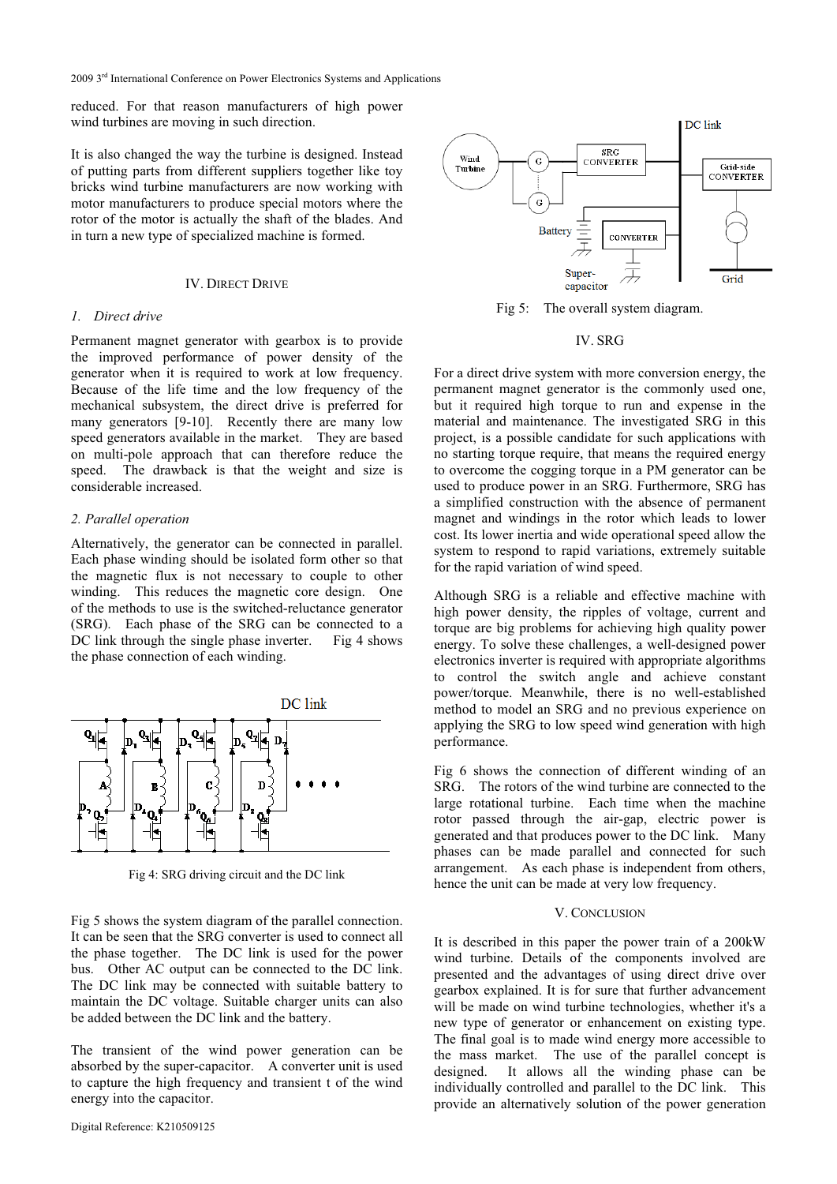2009 3<sup>rd</sup> International Conference on Power Electronics Systems and Applications

reduced. For that reason manufacturers of high power wind turbines are moving in such direction.

It is also changed the way the turbine is designed. Instead of putting parts from different suppliers together like toy bricks wind turbine manufacturers are now working with motor manufacturers to produce special motors where the rotor of the motor is actually the shaft of the blades. And in turn a new type of specialized machine is formed.

# IV. DIRECT DRIVE

# *1. Direct drive*

Permanent magnet generator with gearbox is to provide the improved performance of power density of the generator when it is required to work at low frequency. Because of the life time and the low frequency of the mechanical subsystem, the direct drive is preferred for many generators [9-10]. Recently there are many low speed generators available in the market. They are based on multi-pole approach that can therefore reduce the speed. The drawback is that the weight and size is considerable increased.

# *2. Parallel operation*

Alternatively, the generator can be connected in parallel. Each phase winding should be isolated form other so that the magnetic flux is not necessary to couple to other winding. This reduces the magnetic core design. One of the methods to use is the switched-reluctance generator (SRG). Each phase of the SRG can be connected to a DC link through the single phase inverter. Fig 4 shows the phase connection of each winding.



Fig 4: SRG driving circuit and the DC link

Fig 5 shows the system diagram of the parallel connection. It can be seen that the SRG converter is used to connect all the phase together. The DC link is used for the power bus. Other AC output can be connected to the DC link. The DC link may be connected with suitable battery to maintain the DC voltage. Suitable charger units can also be added between the DC link and the battery.

The transient of the wind power generation can be absorbed by the super-capacitor. A converter unit is used to capture the high frequency and transient t of the wind energy into the capacitor.



Fig 5: The overall system diagram.

# IV. SRG

For a direct drive system with more conversion energy, the permanent magnet generator is the commonly used one, but it required high torque to run and expense in the material and maintenance. The investigated SRG in this project, is a possible candidate for such applications with no starting torque require, that means the required energy to overcome the cogging torque in a PM generator can be used to produce power in an SRG. Furthermore, SRG has a simplified construction with the absence of permanent magnet and windings in the rotor which leads to lower cost. Its lower inertia and wide operational speed allow the system to respond to rapid variations, extremely suitable for the rapid variation of wind speed.

Although SRG is a reliable and effective machine with high power density, the ripples of voltage, current and torque are big problems for achieving high quality power energy. To solve these challenges, a well-designed power electronics inverter is required with appropriate algorithms to control the switch angle and achieve constant power/torque. Meanwhile, there is no well-established method to model an SRG and no previous experience on applying the SRG to low speed wind generation with high performance.

Fig 6 shows the connection of different winding of an SRG. The rotors of the wind turbine are connected to the large rotational turbine. Each time when the machine rotor passed through the air-gap, electric power is generated and that produces power to the DC link. Many phases can be made parallel and connected for such arrangement. As each phase is independent from others, hence the unit can be made at very low frequency.

### V. CONCLUSION

It is described in this paper the power train of a 200kW wind turbine. Details of the components involved are presented and the advantages of using direct drive over gearbox explained. It is for sure that further advancement will be made on wind turbine technologies, whether it's a new type of generator or enhancement on existing type. The final goal is to made wind energy more accessible to the mass market. The use of the parallel concept is designed. It allows all the winding phase can be individually controlled and parallel to the DC link. This provide an alternatively solution of the power generation